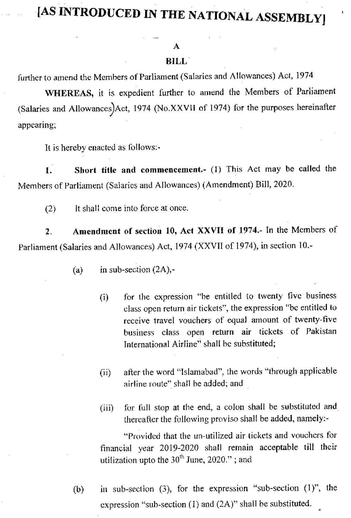## [AS INTRODUCED IN THE NATIONAL ASSEMBLY]

## A

## **BILL**

further to amend the Members of Parliament (Salaries and Allowances) Act, 1974

WHEREAS, it is expedient further to amend the Members of Parliament (Salaries and Allowances) Act, 1974 (No.XXVII of 1974) for the purposes hereinafter appearing;

It is hereby enacted as follows:-

Short title and commencement.- (1) This Act may be called the 1. Members of Parliament (Salaries and Allowances) (Amendment) Bill, 2020.

 $(2)$ It shall come into force at once.

Amendment of section 10, Act XXVII of 1974.- In the Members of  $2.$ Parliament (Salaries and Allowances) Act, 1974 (XXVII of 1974), in section 10.-

> in sub-section  $(2A)$ ,- $(a)$

- for the expression "be entitled to twenty five business  $(i)$ class open return air tickets", the expression "be entitled to receive travel vouchers of equal amount of twenty-five business class open return air tickets of Pakistan International Airline" shall be substituted;
- after the word "Islamabad", the words "through applicable  $(ii)$ airline route" shall be added; and
- for full stop at the end, a colon shall be substituted and  $(iii)$ thereafter the following proviso shall be added, namely:-

"Provided that the un-utilized air tickets and vouchers for financial year 2019-2020 shall remain acceptable till their utilization upto the  $30<sup>th</sup>$  June, 2020."; and

in sub-section (3), for the expression "sub-section  $(1)$ ", the  $(b)$ expression "sub-section  $(1)$  and  $(2A)$ " shall be substituted.